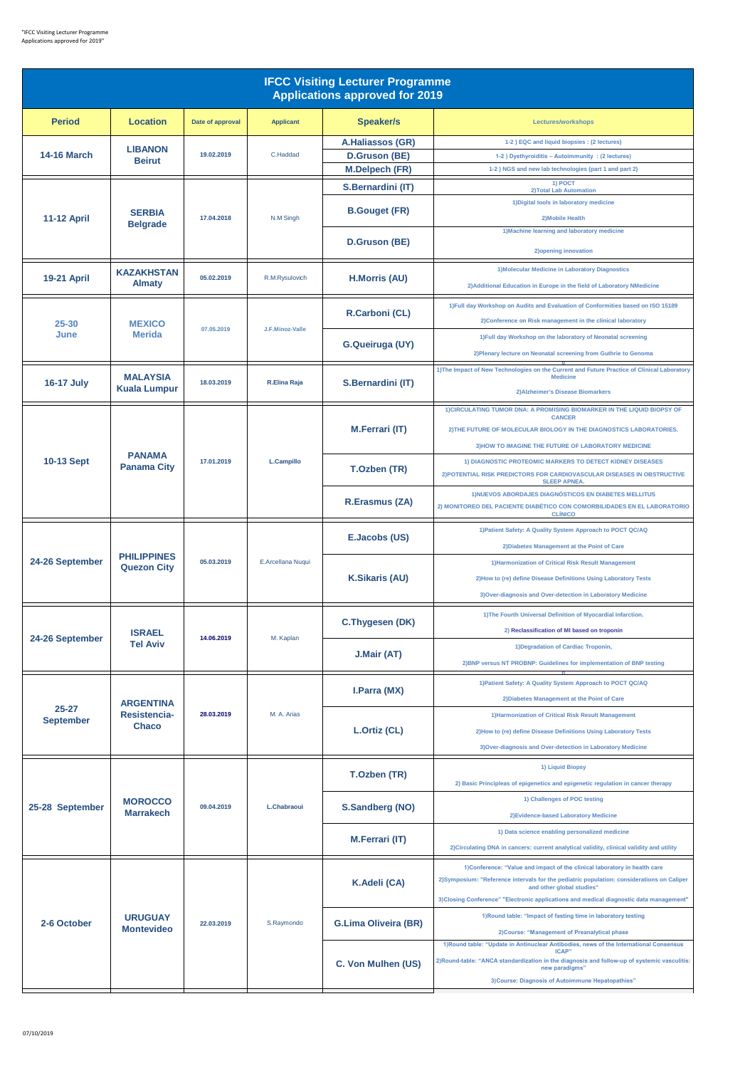| <b>IFCC Visiting Lecturer Programme</b><br><b>Applications approved for 2019</b> |                                                  |                  |                     |                             |                                                                                                                                                                                                                  |  |  |  |
|----------------------------------------------------------------------------------|--------------------------------------------------|------------------|---------------------|-----------------------------|------------------------------------------------------------------------------------------------------------------------------------------------------------------------------------------------------------------|--|--|--|
| <b>Period</b>                                                                    | <b>Location</b>                                  | Date of approval | <b>Applicant</b>    | <b>Speaker/s</b>            | Lectures/workshops                                                                                                                                                                                               |  |  |  |
| <b>14-16 March</b>                                                               | <b>LIBANON</b>                                   | 19.02.2019       | C.Haddad            | A.Haliassos (GR)            | 1-2) EQC and liquid biopsies : (2 lectures)                                                                                                                                                                      |  |  |  |
|                                                                                  | <b>Beirut</b>                                    |                  |                     | <b>D.Gruson (BE)</b>        | 1-2 ) Dysthyroiditis - Autoimmunity : (2 lectures)                                                                                                                                                               |  |  |  |
|                                                                                  |                                                  |                  |                     | <b>M.Delpech (FR)</b>       | 1-2) NGS and new lab technologies (part 1 and part 2)<br>1) POCT                                                                                                                                                 |  |  |  |
| <b>11-12 April</b>                                                               | <b>SERBIA</b><br><b>Belgrade</b>                 | 17.04.2018       | N.M Singh           | S.Bernardini (IT)           | 2) Total Lab Automation                                                                                                                                                                                          |  |  |  |
|                                                                                  |                                                  |                  |                     | <b>B.Gouget (FR)</b>        | 1) Digital tools in laboratory medicine<br>2) Mobile Health                                                                                                                                                      |  |  |  |
|                                                                                  |                                                  |                  |                     | D.Gruson (BE)               | 1) Machine learning and laboratory medicine<br>2) opening innovation                                                                                                                                             |  |  |  |
| <b>19-21 April</b>                                                               | <b>KAZAKHSTAN</b><br><b>Almaty</b>               | 05.02.2019       | R.M.Rysulovich      | <b>H.Morris (AU)</b>        | 1) Molecular Medicine in Laboratory Diagnostics<br>2) Additional Education in Europe in the field of Laboratory NMedicine                                                                                        |  |  |  |
| 25-30<br>June                                                                    | <b>MEXICO</b><br><b>Merida</b>                   | 07.05.2019       | J.F.Minoz-Valle     | R.Carboni (CL)              | 1) Full day Workshop on Audits and Evaluation of Conformities based on ISO 15189<br>2) Conference on Risk management in the clinical laboratory                                                                  |  |  |  |
|                                                                                  |                                                  |                  |                     | G.Queiruga (UY)             | 1) Full day Workshop on the laboratory of Neonatal screening<br>2) Plenary lecture on Neonatal screening from Guthrie to Genoma                                                                                  |  |  |  |
|                                                                                  |                                                  |                  |                     |                             | 1) The Impact of New Technologies on the Current and Future Practice of Clinical Laboratory                                                                                                                      |  |  |  |
| <b>16-17 July</b>                                                                | <b>MALAYSIA</b><br><b>Kuala Lumpur</b>           | 18.03.2019       | <b>R.Elina Raja</b> | S.Bernardini (IT)           | <b>Medicine</b><br>2) Alzheimer's Disease Biomarkers                                                                                                                                                             |  |  |  |
|                                                                                  |                                                  |                  | L.Campillo          |                             | 1) CIRCULATING TUMOR DNA: A PROMISING BIOMARKER IN THE LIQUID BIOPSY OF<br><b>CANCER</b>                                                                                                                         |  |  |  |
|                                                                                  |                                                  |                  |                     | <b>M.Ferrari (IT)</b>       | 2) THE FUTURE OF MOLECULAR BIOLOGY IN THE DIAGNOSTICS LABORATORIES.                                                                                                                                              |  |  |  |
|                                                                                  |                                                  | 17.01.2019       |                     |                             | 3) HOW TO IMAGINE THE FUTURE OF LABORATORY MEDICINE                                                                                                                                                              |  |  |  |
| 10-13 Sept                                                                       | <b>PANAMA</b><br><b>Panama City</b>              |                  |                     | T.Ozben (TR)                | 1) DIAGNOSTIC PROTEOMIC MARKERS TO DETECT KIDNEY DISEASES<br>2) POTENTIAL RISK PREDICTORS FOR CARDIOVASCULAR DISEASES IN OBSTRUCTIVE<br><b>SLEEP APNEA.</b>                                                      |  |  |  |
|                                                                                  |                                                  |                  |                     | <b>R.Erasmus (ZA)</b>       | 1) NUEVOS ABORDAJES DIAGNÓSTICOS EN DIABETES MELLITUS<br>2) MONITOREO DEL PACIENTE DIABÉTICO CON COMORBILIDADES EN EL LABORATORIO<br><b>CLÍNICO</b>                                                              |  |  |  |
|                                                                                  | <b>PHILIPPINES</b><br><b>Quezon City</b>         | 05.03.2019       | E.Arcellana Nuqui   | E.Jacobs (US)               | 1) Patient Safety: A Quality System Approach to POCT QC/AQ<br>2) Diabetes Management at the Point of Care                                                                                                        |  |  |  |
| 24-26 September                                                                  |                                                  |                  |                     | <b>K.Sikaris (AU)</b>       | 1) Harmonization of Critical Risk Result Management                                                                                                                                                              |  |  |  |
|                                                                                  |                                                  |                  |                     |                             | 2) How to (re) define Disease Definitions Using Laboratory Tests                                                                                                                                                 |  |  |  |
|                                                                                  |                                                  |                  |                     |                             | 3) Over-diagnosis and Over-detection in Laboratory Medicine                                                                                                                                                      |  |  |  |
| 24-26 September                                                                  | <b>ISRAEL</b><br><b>Tel Aviv</b>                 | 14.06.2019       | M. Kaplan           | C. Thygesen (DK)            | 1) The Fourth Universal Definition of Myocardial Infarction.                                                                                                                                                     |  |  |  |
|                                                                                  |                                                  |                  |                     |                             | 2) Reclassification of MI based on troponin                                                                                                                                                                      |  |  |  |
|                                                                                  |                                                  |                  |                     | J.Mair (AT)                 | 1) Degradation of Cardiac Troponin,                                                                                                                                                                              |  |  |  |
|                                                                                  |                                                  |                  |                     |                             | 2) BNP versus NT PROBNP: Guidelines for implementation of BNP testing                                                                                                                                            |  |  |  |
|                                                                                  | <b>ARGENTINA</b><br>Resistencia-<br><b>Chaco</b> | 28.03.2019       | M. A. Arias         | I.Parra (MX)                | 1) Patient Safety: A Quality System Approach to POCT QC/AQ<br>2) Diabetes Management at the Point of Care                                                                                                        |  |  |  |
| $25 - 27$<br><b>September</b>                                                    |                                                  |                  |                     | L.Ortiz (CL)                | 1) Harmonization of Critical Risk Result Management                                                                                                                                                              |  |  |  |
|                                                                                  |                                                  |                  |                     |                             | 2) How to (re) define Disease Definitions Using Laboratory Tests                                                                                                                                                 |  |  |  |
|                                                                                  |                                                  |                  |                     |                             | 3) Over-diagnosis and Over-detection in Laboratory Medicine                                                                                                                                                      |  |  |  |
| 25-28 September                                                                  | <b>MOROCCO</b><br><b>Marrakech</b>               | 09.04.2019       | L.Chabraoui         | T.Ozben (TR)                | 1) Liquid Biopsy<br>2) Basic Principleas of epigenetics and epigenetic regulation in cancer therapy                                                                                                              |  |  |  |
|                                                                                  |                                                  |                  |                     | S.Sandberg (NO)             | 1) Challenges of POC testing                                                                                                                                                                                     |  |  |  |
|                                                                                  |                                                  |                  |                     |                             | 2) Evidence-based Laboratory Medicine                                                                                                                                                                            |  |  |  |
|                                                                                  |                                                  |                  |                     | <b>M.Ferrari (IT)</b>       | 1) Data science enabling personalized medicine                                                                                                                                                                   |  |  |  |
|                                                                                  |                                                  |                  |                     |                             | 2) Circulating DNA in cancers: current analytical validity, clinical validity and utility                                                                                                                        |  |  |  |
| 2-6 October                                                                      | <b>URUGUAY</b><br><b>Montevideo</b>              | 22.03.2019       | S.Raymondo          | K.Adeli (CA)                | 1)Conference: "Value and impact of the clinical laboratory in health care<br>2) Symposium: "Reference intervals for the pediatric population: considerations on Caliper<br>and other global studies"             |  |  |  |
|                                                                                  |                                                  |                  |                     |                             | 3) Closing Conference" "Electronic applications and medical diagnostic data management"                                                                                                                          |  |  |  |
|                                                                                  |                                                  |                  |                     | <b>G.Lima Oliveira (BR)</b> | 1) Round table: "Impact of fasting time in laboratory testing<br>2) Course: "Management of Preanalytical phase                                                                                                   |  |  |  |
|                                                                                  |                                                  |                  |                     | C. Von Mulhen (US)          | 1) Round table: "Update in Antinuclear Antibodies, news of the International Consensus<br>ICAP"<br>2)Round-table: "ANCA standardization in the diagnosis and follow-up of systemic vasculitis:<br>new paradigms" |  |  |  |
|                                                                                  |                                                  |                  |                     |                             | 3) Course: Diagnosis of Autoimmune Hepatopathies"                                                                                                                                                                |  |  |  |